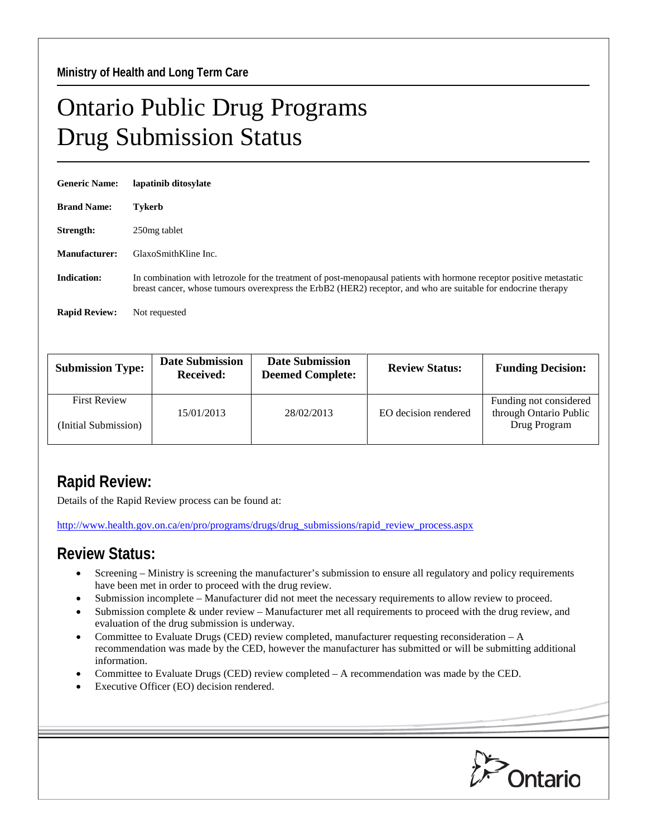## Ontario Public Drug Programs Drug Submission Status

| <b>Generic Name:</b> | lapatinib ditosylate                                                                                                                                                                                                                    |
|----------------------|-----------------------------------------------------------------------------------------------------------------------------------------------------------------------------------------------------------------------------------------|
| <b>Brand Name:</b>   | <b>Tykerb</b>                                                                                                                                                                                                                           |
| Strength:            | 250 mg tablet                                                                                                                                                                                                                           |
| <b>Manufacturer:</b> | GlaxoSmithKline Inc.                                                                                                                                                                                                                    |
| <b>Indication:</b>   | In combination with letrozole for the treatment of post-menopausal patients with hormone receptor positive metastatic<br>breast cancer, whose tumours overexpress the ErbB2 (HER2) receptor, and who are suitable for endocrine therapy |
| <b>Rapid Review:</b> | Not requested                                                                                                                                                                                                                           |

| <b>Submission Type:</b> | <b>Date Submission</b><br><b>Received:</b> | <b>Date Submission</b><br><b>Deemed Complete:</b> | <b>Review Status:</b> | <b>Funding Decision:</b>                         |
|-------------------------|--------------------------------------------|---------------------------------------------------|-----------------------|--------------------------------------------------|
| <b>First Review</b>     | 15/01/2013                                 | 28/02/2013                                        | EO decision rendered  | Funding not considered<br>through Ontario Public |
| (Initial Submission)    |                                            |                                                   |                       | Drug Program                                     |

## **Rapid Review:**

Details of the Rapid Review process can be found at:

[http://www.health.gov.on.ca/en/pro/programs/drugs/drug\\_submissions/rapid\\_review\\_process.aspx](http://www.health.gov.on.ca/en/pro/programs/drugs/drug_submissions/rapid_review_process.aspx)

## **Review Status:**

- Screening Ministry is screening the manufacturer's submission to ensure all regulatory and policy requirements have been met in order to proceed with the drug review.
- Submission incomplete Manufacturer did not meet the necessary requirements to allow review to proceed.
- Submission complete & under review Manufacturer met all requirements to proceed with the drug review, and evaluation of the drug submission is underway.
- Committee to Evaluate Drugs (CED) review completed, manufacturer requesting reconsideration A recommendation was made by the CED, however the manufacturer has submitted or will be submitting additional information.
- Committee to Evaluate Drugs (CED) review completed A recommendation was made by the CED.
- Executive Officer (EO) decision rendered.